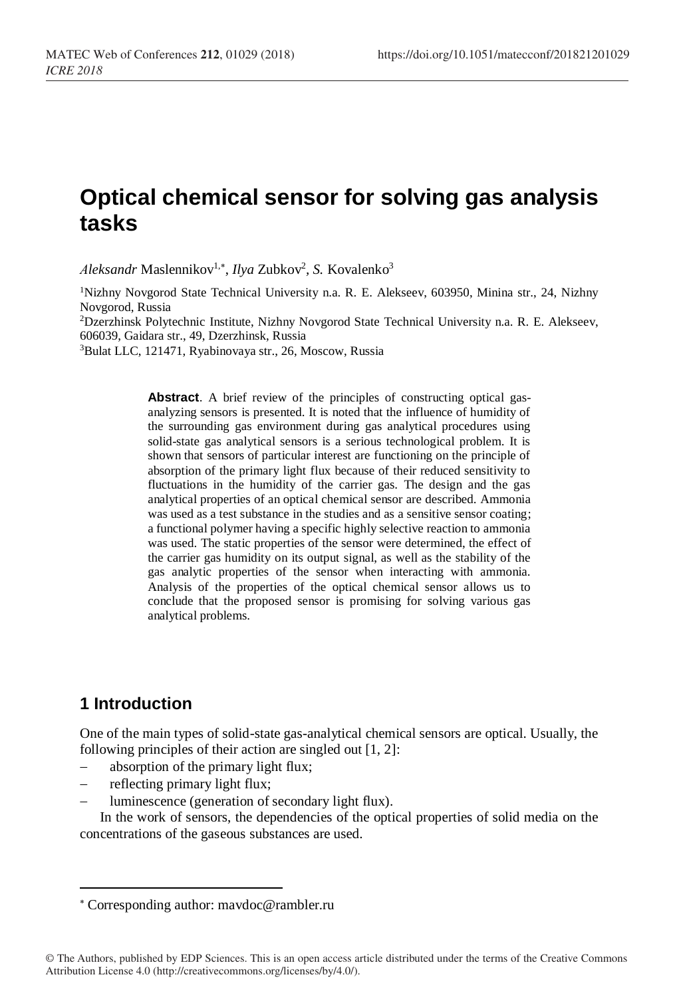# **Optical chemical sensor for solving gas analysis tasks**

*Aleksandr* Maslennikov<sup>1,\*</sup>, *Ilya* Zubkov<sup>2</sup>, S. Kovalenko<sup>3</sup>

<sup>1</sup>Nizhny Novgorod State Technical University n.a. R. E. Alekseev, 603950, Minina str., 24, Nizhny Novgorod, Russia

<sup>2</sup>Dzerzhinsk Polytechnic Institute, Nizhny Novgorod State Technical University n.a. R. E. Alekseev, 606039, Gaidara str., 49, Dzerzhinsk, Russia

<sup>3</sup>Bulat LLC, 121471, Ryabinovaya str., 26, Moscow, Russia

**Abstract**. A brief review of the principles of constructing optical gasanalyzing sensors is presented. It is noted that the influence of humidity of the surrounding gas environment during gas analytical procedures using solid-state gas analytical sensors is a serious technological problem. It is shown that sensors of particular interest are functioning on the principle of absorption of the primary light flux because of their reduced sensitivity to fluctuations in the humidity of the carrier gas. The design and the gas analytical properties of an optical chemical sensor are described. Ammonia was used as a test substance in the studies and as a sensitive sensor coating; a functional polymer having a specific highly selective reaction to ammonia was used. The static properties of the sensor were determined, the effect of the carrier gas humidity on its output signal, as well as the stability of the gas analytic properties of the sensor when interacting with ammonia. Analysis of the properties of the optical chemical sensor allows us to conclude that the proposed sensor is promising for solving various gas analytical problems.

## **1 Introduction**

 $\overline{a}$ 

One of the main types of solid-state gas-analytical chemical sensors are optical. Usually, the following principles of their action are singled out [1, 2]:

- absorption of the primary light flux;
- reflecting primary light flux;
- luminescence (generation of secondary light flux).

In the work of sensors, the dependencies of the optical properties of solid media on the concentrations of the gaseous substances are used.

Corresponding author: mavdoc@rambler.ru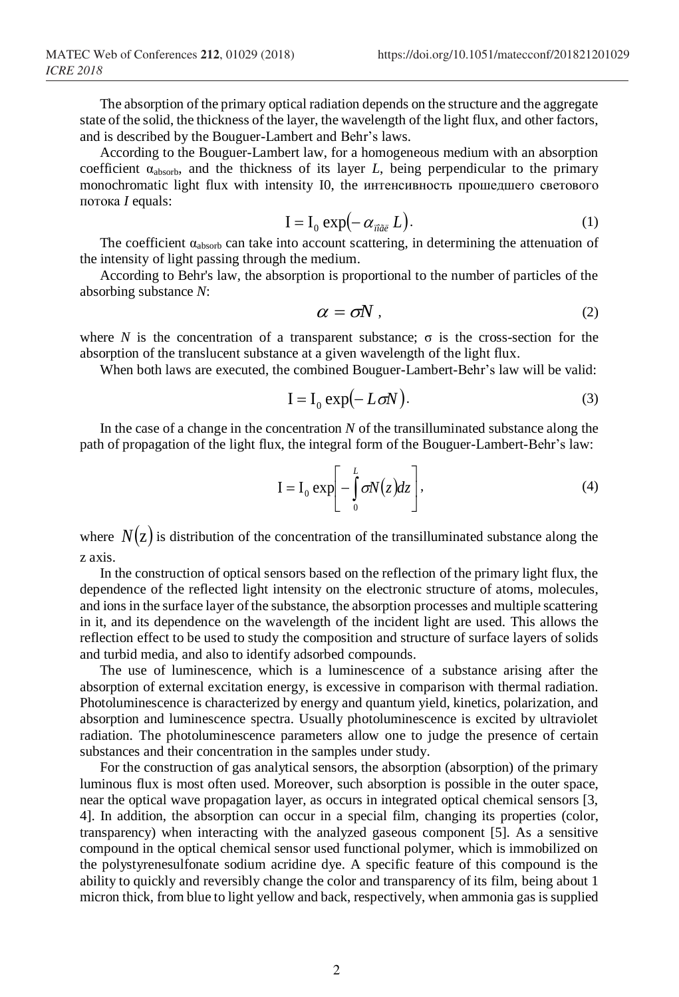The absorption of the primary optical radiation depends on the structure and the aggregate state of the solid, the thickness of the layer, the wavelength of the light flux, and other factors, and is described by the Bouguer-Lambert and Behr's laws.

According to the Bouguer-Lambert law, for a homogeneous medium with an absorption coefficient  $\alpha_{\text{absorb}}$ , and the thickness of its layer *L*, being perpendicular to the primary monochromatic light flux with intensity I0, the интенсивность прошедшего светового потока *I* equals:

$$
I = I_0 \exp(-\alpha_{\text{max}} L). \tag{1}
$$

The coefficient  $\alpha_{\text{absorb}}$  can take into account scattering, in determining the attenuation of the intensity of light passing through the medium.

According to Behr's law, the absorption is proportional to the number of particles of the absorbing substance *N*:

$$
\alpha = \sigma N \tag{2}
$$

where *N* is the concentration of a transparent substance;  $\sigma$  is the cross-section for the absorption of the translucent substance at a given wavelength of the light flux.

When both laws are executed, the combined Bouguer-Lambert-Behr's law will be valid:

$$
I = I_0 \exp(-L\sigma N). \tag{3}
$$

In the case of a change in the concentration *N* of the transilluminated substance along the path of propagation of the light flux, the integral form of the Bouguer-Lambert-Behr's law:

$$
\mathbf{I} = \mathbf{I}_0 \exp\left[-\int_0^L \sigma N(z) dz\right],\tag{4}
$$

where  $N(z)$  is distribution of the concentration of the transilluminated substance along the z axis.

In the construction of optical sensors based on the reflection of the primary light flux, the dependence of the reflected light intensity on the electronic structure of atoms, molecules, and ions in the surface layer of the substance, the absorption processes and multiple scattering in it, and its dependence on the wavelength of the incident light are used. This allows the reflection effect to be used to study the composition and structure of surface layers of solids and turbid media, and also to identify adsorbed compounds.

The use of luminescence, which is a luminescence of a substance arising after the absorption of external excitation energy, is excessive in comparison with thermal radiation. Photoluminescence is characterized by energy and quantum yield, kinetics, polarization, and absorption and luminescence spectra. Usually photoluminescence is excited by ultraviolet radiation. The photoluminescence parameters allow one to judge the presence of certain substances and their concentration in the samples under study.

For the construction of gas analytical sensors, the absorption (absorption) of the primary luminous flux is most often used. Moreover, such absorption is possible in the outer space, near the optical wave propagation layer, as occurs in integrated optical chemical sensors [3, 4]. In addition, the absorption can occur in a special film, changing its properties (color, transparency) when interacting with the analyzed gaseous component [5]. As a sensitive compound in the optical chemical sensor used functional polymer, which is immobilized on the polystyrenesulfonate sodium acridine dye. A specific feature of this compound is the ability to quickly and reversibly change the color and transparency of its film, being about 1 micron thick, from blue to light yellow and back, respectively, when ammonia gas is supplied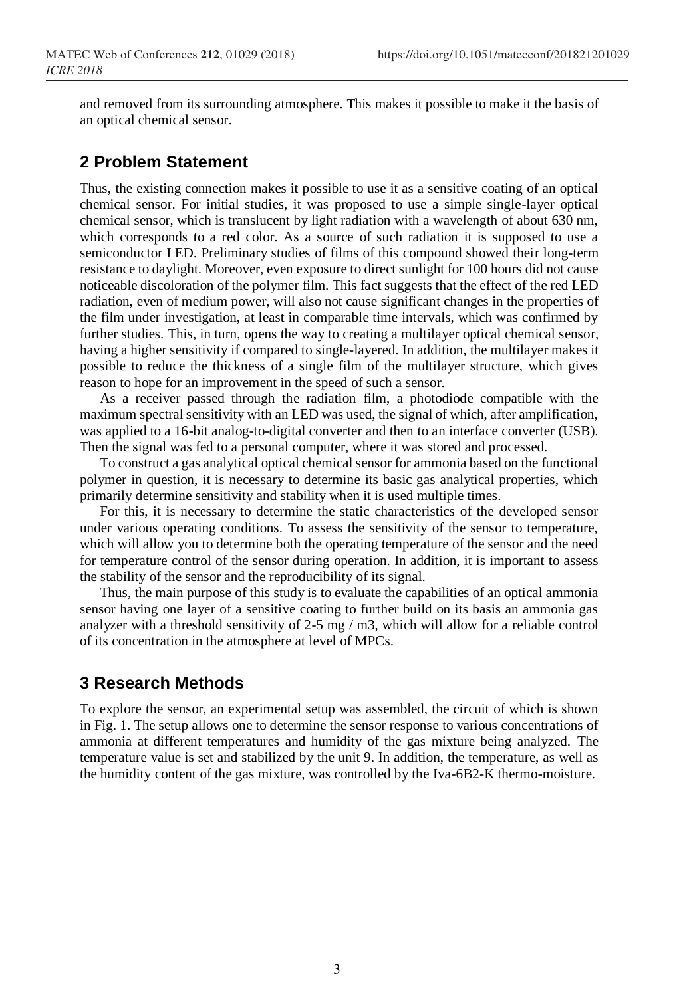and removed from its surrounding atmosphere. This makes it possible to make it the basis of an optical chemical sensor.

## **2 Problem Statement**

Thus, the existing connection makes it possible to use it as a sensitive coating of an optical chemical sensor. For initial studies, it was proposed to use a simple single-layer optical chemical sensor, which is translucent by light radiation with a wavelength of about 630 nm, which corresponds to a red color. As a source of such radiation it is supposed to use a semiconductor LED. Preliminary studies of films of this compound showed their long-term resistance to daylight. Moreover, even exposure to direct sunlight for 100 hours did not cause noticeable discoloration of the polymer film. This fact suggests that the effect of the red LED radiation, even of medium power, will also not cause significant changes in the properties of the film under investigation, at least in comparable time intervals, which was confirmed by further studies. This, in turn, opens the way to creating a multilayer optical chemical sensor, having a higher sensitivity if compared to single-layered. In addition, the multilayer makes it possible to reduce the thickness of a single film of the multilayer structure, which gives reason to hope for an improvement in the speed of such a sensor.

As a receiver passed through the radiation film, a photodiode compatible with the maximum spectral sensitivity with an LED was used, the signal of which, after amplification, was applied to a 16-bit analog-to-digital converter and then to an interface converter (USB). Then the signal was fed to a personal computer, where it was stored and processed.

To construct a gas analytical optical chemical sensor for ammonia based on the functional polymer in question, it is necessary to determine its basic gas analytical properties, which primarily determine sensitivity and stability when it is used multiple times.

For this, it is necessary to determine the static characteristics of the developed sensor under various operating conditions. To assess the sensitivity of the sensor to temperature, which will allow you to determine both the operating temperature of the sensor and the need for temperature control of the sensor during operation. In addition, it is important to assess the stability of the sensor and the reproducibility of its signal.

Thus, the main purpose of this study is to evaluate the capabilities of an optical ammonia sensor having one layer of a sensitive coating to further build on its basis an ammonia gas analyzer with a threshold sensitivity of 2-5 mg / m3, which will allow for a reliable control of its concentration in the atmosphere at level of MPCs.

## **3 Research Methods**

To explore the sensor, an experimental setup was assembled, the circuit of which is shown in Fig. 1. The setup allows one to determine the sensor response to various concentrations of ammonia at different temperatures and humidity of the gas mixture being analyzed. The temperature value is set and stabilized by the unit 9. In addition, the temperature, as well as the humidity content of the gas mixture, was controlled by the Iva-6B2-K thermo-moisture.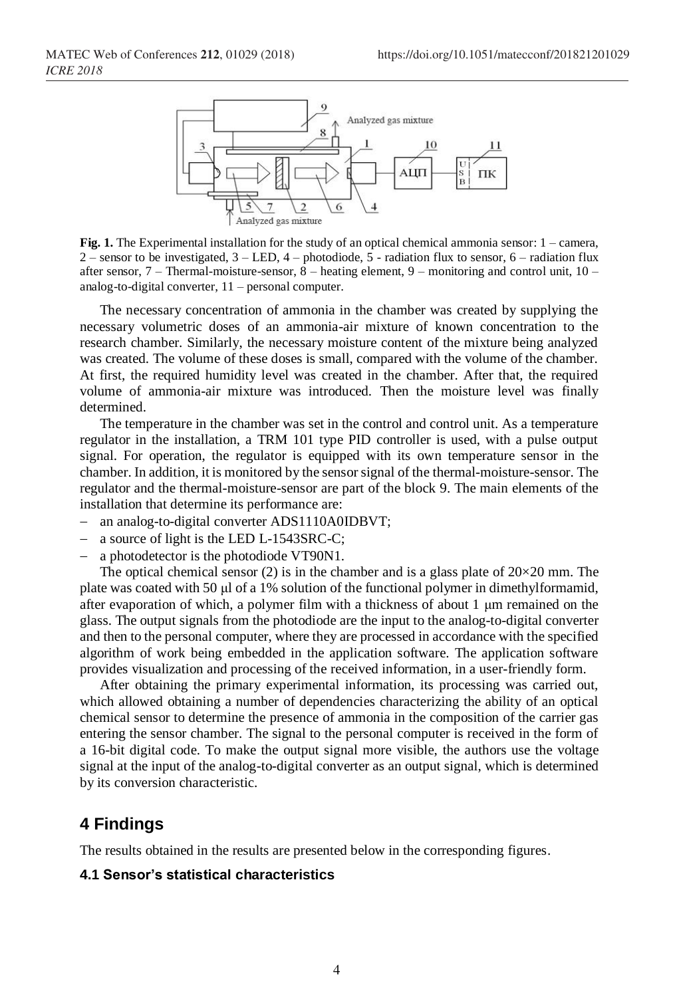

**Fig. 1.** The Experimental installation for the study of an optical chemical ammonia sensor: 1 – camera, 2 – sensor to be investigated,  $3 - LED$ ,  $4 - photodiode$ ,  $5 - radiation flux$  to sensor,  $6 - radiation flux$ after sensor, 7 – Thermal-moisture-sensor, 8 – heating element, 9 – monitoring and control unit, 10 – analog-to-digital converter, 11 – personal computer.

The necessary concentration of ammonia in the chamber was created by supplying the necessary volumetric doses of an ammonia-air mixture of known concentration to the research chamber. Similarly, the necessary moisture content of the mixture being analyzed was created. The volume of these doses is small, compared with the volume of the chamber. At first, the required humidity level was created in the chamber. After that, the required volume of ammonia-air mixture was introduced. Then the moisture level was finally determined.

The temperature in the chamber was set in the control and control unit. As a temperature regulator in the installation, a TRM 101 type PID controller is used, with a pulse output signal. For operation, the regulator is equipped with its own temperature sensor in the chamber. In addition, it is monitored by the sensor signal of the thermal-moisture-sensor. The regulator and the thermal-moisture-sensor are part of the block 9. The main elements of the installation that determine its performance are:

- − an analog-to-digital converter ADS1110A0IDBVT;
- − a source of light is the LED L-1543SRC-C;
- a photodetector is the photodiode VT90N1.

The optical chemical sensor (2) is in the chamber and is a glass plate of  $20\times20$  mm. The plate was coated with 50 μl of a 1% solution of the functional polymer in dimethylformamid, after evaporation of which, a polymer film with a thickness of about 1 μm remained on the glass. The output signals from the photodiode are the input to the analog-to-digital converter and then to the personal computer, where they are processed in accordance with the specified algorithm of work being embedded in the application software. The application software provides visualization and processing of the received information, in a user-friendly form.

After obtaining the primary experimental information, its processing was carried out, which allowed obtaining a number of dependencies characterizing the ability of an optical chemical sensor to determine the presence of ammonia in the composition of the carrier gas entering the sensor chamber. The signal to the personal computer is received in the form of a 16-bit digital code. To make the output signal more visible, the authors use the voltage signal at the input of the analog-to-digital converter as an output signal, which is determined by its conversion characteristic.

### **4 Findings**

The results obtained in the results are presented below in the corresponding figures.

#### **4.1 Sensor's statistical characteristics**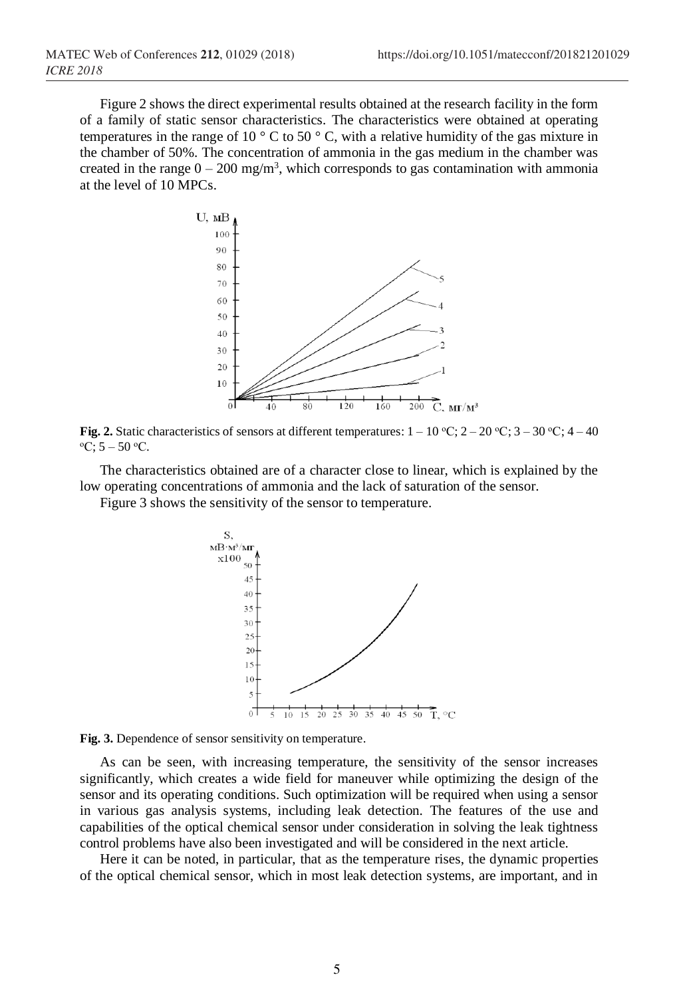Figure 2 shows the direct experimental results obtained at the research facility in the form of a family of static sensor characteristics. The characteristics were obtained at operating temperatures in the range of 10  $\degree$  C to 50  $\degree$  C, with a relative humidity of the gas mixture in the chamber of 50%. The concentration of ammonia in the gas medium in the chamber was created in the range  $0 - 200$  mg/m<sup>3</sup>, which corresponds to gas contamination with ammonia at the level of 10 MPCs.



**Fig. 2.** Static characteristics of sensors at different temperatures:  $1 - 10 \degree \text{C}$ ;  $2 - 20 \degree \text{C}$ ;  $3 - 30 \degree \text{C}$ ;  $4 - 40 \degree \text{C}$  $\mathrm{^oC:5}$  – 50  $\mathrm{^oC}.$ 

The characteristics obtained are of a character close to linear, which is explained by the low operating concentrations of ammonia and the lack of saturation of the sensor.

Figure 3 shows the sensitivity of the sensor to temperature.





As can be seen, with increasing temperature, the sensitivity of the sensor increases significantly, which creates a wide field for maneuver while optimizing the design of the sensor and its operating conditions. Such optimization will be required when using a sensor in various gas analysis systems, including leak detection. The features of the use and capabilities of the optical chemical sensor under consideration in solving the leak tightness control problems have also been investigated and will be considered in the next article.

Here it can be noted, in particular, that as the temperature rises, the dynamic properties of the optical chemical sensor, which in most leak detection systems, are important, and in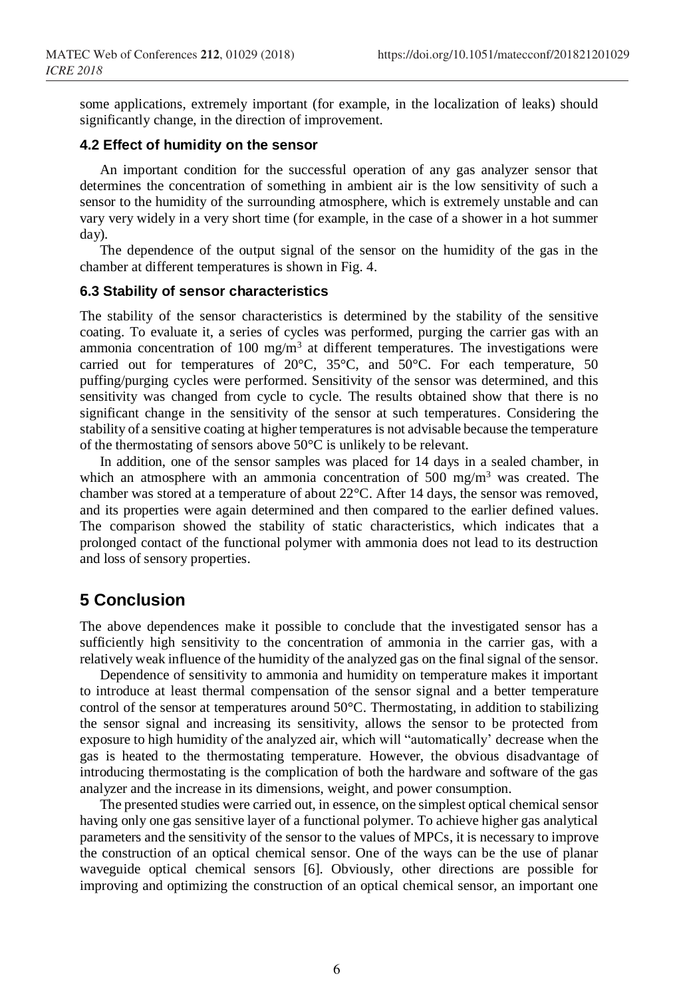some applications, extremely important (for example, in the localization of leaks) should significantly change, in the direction of improvement.

#### **4.2 Effect of humidity on the sensor**

An important condition for the successful operation of any gas analyzer sensor that determines the concentration of something in ambient air is the low sensitivity of such a sensor to the humidity of the surrounding atmosphere, which is extremely unstable and can vary very widely in a very short time (for example, in the case of a shower in a hot summer day).

The dependence of the output signal of the sensor on the humidity of the gas in the chamber at different temperatures is shown in Fig. 4.

#### **6.3 Stability of sensor characteristics**

The stability of the sensor characteristics is determined by the stability of the sensitive coating. To evaluate it, a series of cycles was performed, purging the carrier gas with an ammonia concentration of 100 mg/m<sup>3</sup> at different temperatures. The investigations were carried out for temperatures of 20°C, 35°C, and 50°C. For each temperature, 50 puffing/purging cycles were performed. Sensitivity of the sensor was determined, and this sensitivity was changed from cycle to cycle. The results obtained show that there is no significant change in the sensitivity of the sensor at such temperatures. Considering the stability of a sensitive coating at higher temperatures is not advisable because the temperature of the thermostating of sensors above 50°C is unlikely to be relevant.

In addition, one of the sensor samples was placed for 14 days in a sealed chamber, in which an atmosphere with an ammonia concentration of 500 mg/m<sup>3</sup> was created. The chamber was stored at a temperature of about 22°C. After 14 days, the sensor was removed, and its properties were again determined and then compared to the earlier defined values. The comparison showed the stability of static characteristics, which indicates that a prolonged contact of the functional polymer with ammonia does not lead to its destruction and loss of sensory properties.

## **5 Conclusion**

The above dependences make it possible to conclude that the investigated sensor has a sufficiently high sensitivity to the concentration of ammonia in the carrier gas, with a relatively weak influence of the humidity of the analyzed gas on the final signal of the sensor.

Dependence of sensitivity to ammonia and humidity on temperature makes it important to introduce at least thermal compensation of the sensor signal and a better temperature control of the sensor at temperatures around 50°C. Thermostating, in addition to stabilizing the sensor signal and increasing its sensitivity, allows the sensor to be protected from exposure to high humidity of the analyzed air, which will "automatically' decrease when the gas is heated to the thermostating temperature. However, the obvious disadvantage of introducing thermostating is the complication of both the hardware and software of the gas analyzer and the increase in its dimensions, weight, and power consumption.

The presented studies were carried out, in essence, on the simplest optical chemical sensor having only one gas sensitive layer of a functional polymer. To achieve higher gas analytical parameters and the sensitivity of the sensor to the values of MPCs, it is necessary to improve the construction of an optical chemical sensor. One of the ways can be the use of planar waveguide optical chemical sensors [6]. Obviously, other directions are possible for improving and optimizing the construction of an optical chemical sensor, an important one